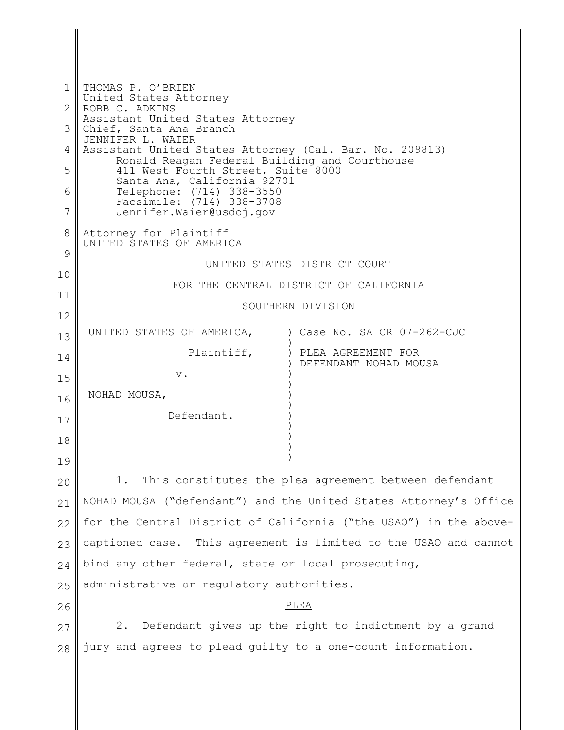| $\mathbf 1$    | THOMAS P. O'BRIEN<br>United States Attorney                                                              |                                                                   |
|----------------|----------------------------------------------------------------------------------------------------------|-------------------------------------------------------------------|
| $\overline{2}$ | ROBB C. ADKINS<br>Assistant United States Attorney                                                       |                                                                   |
| 3              | Chief, Santa Ana Branch<br>JENNIFER L. WAIER                                                             |                                                                   |
| 4              | Assistant United States Attorney (Cal. Bar. No. 209813)<br>Ronald Reagan Federal Building and Courthouse |                                                                   |
| 5              | 411 West Fourth Street, Suite 8000<br>Santa Ana, California 92701                                        |                                                                   |
| 6              | Telephone: (714) 338-3550<br>Facsimile: (714) 338-3708                                                   |                                                                   |
| $\overline{7}$ | Jennifer. Waier@usdoj.gov                                                                                |                                                                   |
| 8<br>9         | Attorney for Plaintiff<br>UNITED STATES OF AMERICA                                                       |                                                                   |
|                |                                                                                                          | UNITED STATES DISTRICT COURT                                      |
| 10             |                                                                                                          | FOR THE CENTRAL DISTRICT OF CALIFORNIA                            |
| 11             | SOUTHERN DIVISION                                                                                        |                                                                   |
| 12             | UNITED STATES OF AMERICA,                                                                                | ) Case No. SA CR 07-262-CJC                                       |
| 13             |                                                                                                          |                                                                   |
| 14             | Plaintiff,                                                                                               | ) PLEA AGREEMENT FOR<br>DEFENDANT NOHAD MOUSA                     |
| 15             | $V$ .                                                                                                    |                                                                   |
| 16             | NOHAD MOUSA,                                                                                             |                                                                   |
| 17             | Defendant.                                                                                               |                                                                   |
| 18             |                                                                                                          |                                                                   |
| 19             |                                                                                                          |                                                                   |
| 20             | This constitutes the plea agreement between defendant                                                    |                                                                   |
| 21             |                                                                                                          | NOHAD MOUSA ("defendant") and the United States Attorney's Office |
| 22             |                                                                                                          | for the Central District of California ("the USAO") in the above- |
| 23             | captioned case. This agreement is limited to the USAO and cannot                                         |                                                                   |
| 24             | bind any other federal, state or local prosecuting,                                                      |                                                                   |
| 25             | administrative or regulatory authorities.                                                                |                                                                   |
| 26             |                                                                                                          | PLEA                                                              |
| 27             |                                                                                                          | 2. Defendant gives up the right to indictment by a grand          |
| 28             | jury and agrees to plead guilty to a one-count information.                                              |                                                                   |
|                |                                                                                                          |                                                                   |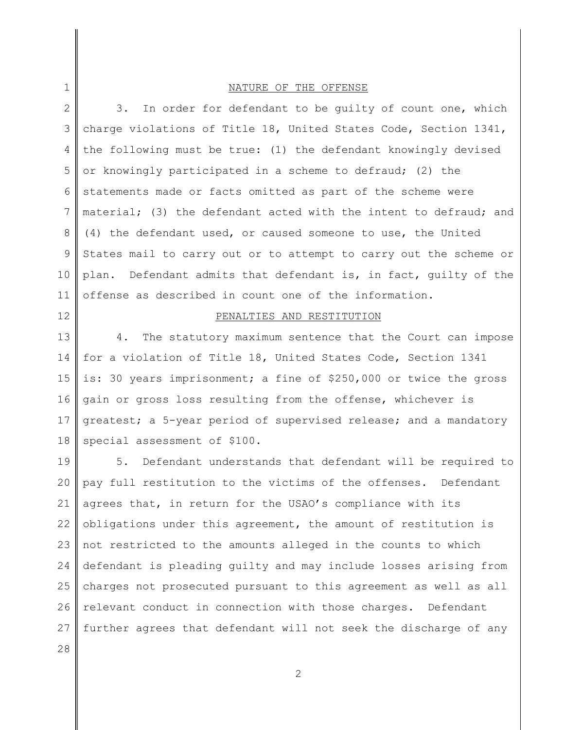### NATURE OF THE OFFENSE

2 3 4 5 6 7 8 9 10 11 3. In order for defendant to be guilty of count one, which charge violations of Title 18, United States Code, Section 1341, the following must be true: (1) the defendant knowingly devised or knowingly participated in a scheme to defraud; (2) the statements made or facts omitted as part of the scheme were material; (3) the defendant acted with the intent to defraud; and (4) the defendant used, or caused someone to use, the United States mail to carry out or to attempt to carry out the scheme or plan. Defendant admits that defendant is, in fact, guilty of the offense as described in count one of the information.

#### 12

1

### PENALTIES AND RESTITUTION

13 14 15 16 17 18 4. The statutory maximum sentence that the Court can impose for a violation of Title 18, United States Code, Section 1341 is: 30 years imprisonment; a fine of \$250,000 or twice the gross gain or gross loss resulting from the offense, whichever is greatest; a 5-year period of supervised release; and a mandatory special assessment of \$100.

19 20 21 22 23 24 25 26 27 5. Defendant understands that defendant will be required to pay full restitution to the victims of the offenses. Defendant agrees that, in return for the USAO's compliance with its obligations under this agreement, the amount of restitution is not restricted to the amounts alleged in the counts to which defendant is pleading guilty and may include losses arising from charges not prosecuted pursuant to this agreement as well as all relevant conduct in connection with those charges. Defendant further agrees that defendant will not seek the discharge of any

28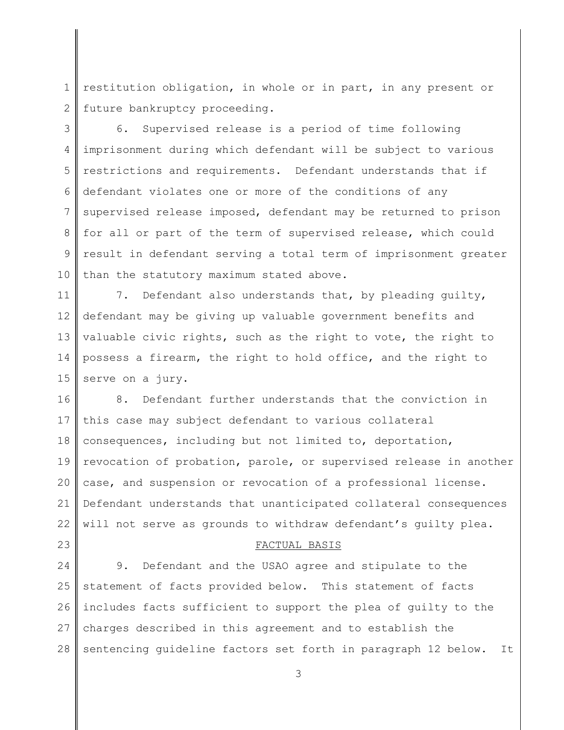1 2 restitution obligation, in whole or in part, in any present or future bankruptcy proceeding.

3 4 5 6 7 8 9 10 6. Supervised release is a period of time following imprisonment during which defendant will be subject to various restrictions and requirements. Defendant understands that if defendant violates one or more of the conditions of any supervised release imposed, defendant may be returned to prison for all or part of the term of supervised release, which could result in defendant serving a total term of imprisonment greater than the statutory maximum stated above.

11 12 13 14 15 7. Defendant also understands that, by pleading quilty, defendant may be giving up valuable government benefits and valuable civic rights, such as the right to vote, the right to possess a firearm, the right to hold office, and the right to serve on a jury.

16 17 18 19 20 21 22 8. Defendant further understands that the conviction in this case may subject defendant to various collateral consequences, including but not limited to, deportation, revocation of probation, parole, or supervised release in another case, and suspension or revocation of a professional license. Defendant understands that unanticipated collateral consequences will not serve as grounds to withdraw defendant's guilty plea.

### FACTUAL BASIS

24 25 26 27 28 9. Defendant and the USAO agree and stipulate to the statement of facts provided below. This statement of facts includes facts sufficient to support the plea of guilty to the charges described in this agreement and to establish the sentencing guideline factors set forth in paragraph 12 below. It

23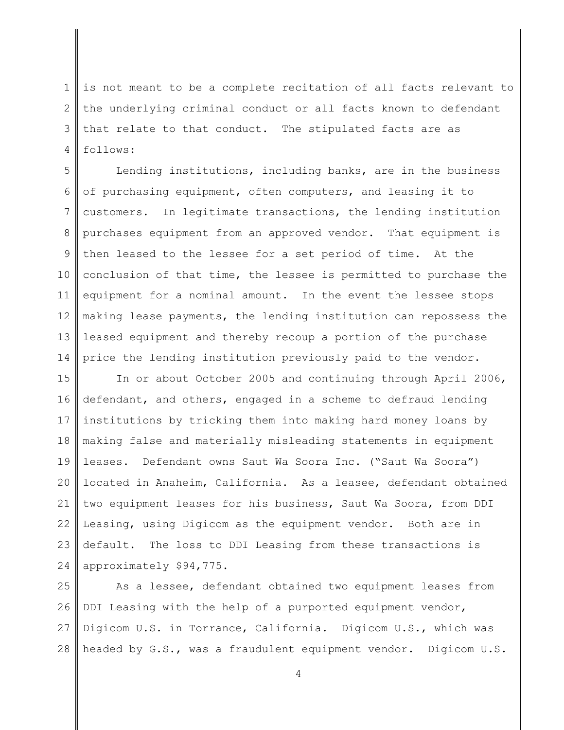1 2 3 4 is not meant to be a complete recitation of all facts relevant to the underlying criminal conduct or all facts known to defendant that relate to that conduct. The stipulated facts are as follows:

5 6 7 8 9 10 11 12 13 14 Lending institutions, including banks, are in the business of purchasing equipment, often computers, and leasing it to customers. In legitimate transactions, the lending institution purchases equipment from an approved vendor. That equipment is then leased to the lessee for a set period of time. At the conclusion of that time, the lessee is permitted to purchase the equipment for a nominal amount. In the event the lessee stops making lease payments, the lending institution can repossess the leased equipment and thereby recoup a portion of the purchase price the lending institution previously paid to the vendor.

15 16 17 18 19 20 21 22 23 24 In or about October 2005 and continuing through April 2006, defendant, and others, engaged in a scheme to defraud lending institutions by tricking them into making hard money loans by making false and materially misleading statements in equipment leases. Defendant owns Saut Wa Soora Inc. ("Saut Wa Soora") located in Anaheim, California. As a leasee, defendant obtained two equipment leases for his business, Saut Wa Soora, from DDI Leasing, using Digicom as the equipment vendor. Both are in default. The loss to DDI Leasing from these transactions is approximately \$94,775.

25 26 27 28 As a lessee, defendant obtained two equipment leases from DDI Leasing with the help of a purported equipment vendor, Digicom U.S. in Torrance, California. Digicom U.S., which was headed by G.S., was a fraudulent equipment vendor. Digicom U.S.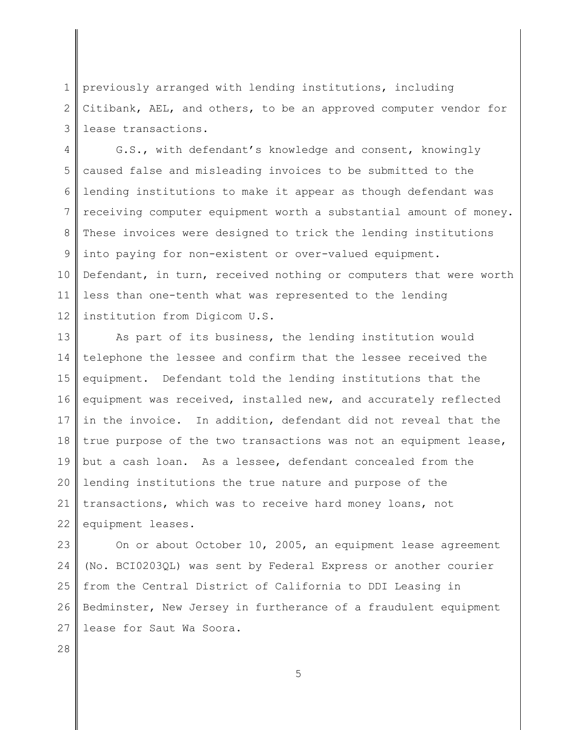1 2 3 previously arranged with lending institutions, including Citibank, AEL, and others, to be an approved computer vendor for lease transactions.

4 5 6 7 8 9 10 11 12 G.S., with defendant's knowledge and consent, knowingly caused false and misleading invoices to be submitted to the lending institutions to make it appear as though defendant was receiving computer equipment worth a substantial amount of money. These invoices were designed to trick the lending institutions into paying for non-existent or over-valued equipment. Defendant, in turn, received nothing or computers that were worth less than one-tenth what was represented to the lending institution from Digicom U.S.

13 14 15 16 17 18 19 20 21 22 As part of its business, the lending institution would telephone the lessee and confirm that the lessee received the equipment. Defendant told the lending institutions that the equipment was received, installed new, and accurately reflected in the invoice. In addition, defendant did not reveal that the true purpose of the two transactions was not an equipment lease, but a cash loan. As a lessee, defendant concealed from the lending institutions the true nature and purpose of the transactions, which was to receive hard money loans, not equipment leases.

23 24 25 26 27 On or about October 10, 2005, an equipment lease agreement (No. BCI0203QL) was sent by Federal Express or another courier from the Central District of California to DDI Leasing in Bedminster, New Jersey in furtherance of a fraudulent equipment lease for Saut Wa Soora.

28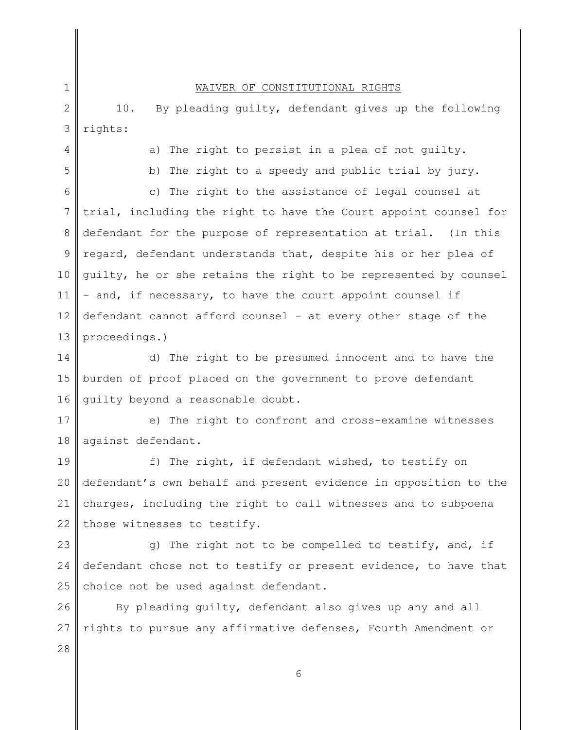# WAIVER OF CONSTITUTIONAL RIGHTS

2 3 10. By pleading guilty, defendant gives up the following rights:

4

5

1

a) The right to persist in a plea of not guilty.

b) The right to a speedy and public trial by jury.

6 7 8 9 10 11 12 13 c) The right to the assistance of legal counsel at trial, including the right to have the Court appoint counsel for defendant for the purpose of representation at trial. (In this regard, defendant understands that, despite his or her plea of guilty, he or she retains the right to be represented by counsel - and, if necessary, to have the court appoint counsel if defendant cannot afford counsel - at every other stage of the proceedings.)

14 15 16 d) The right to be presumed innocent and to have the burden of proof placed on the government to prove defendant guilty beyond a reasonable doubt.

17 18 e) The right to confront and cross-examine witnesses against defendant.

19 20 21 22 f) The right, if defendant wished, to testify on defendant's own behalf and present evidence in opposition to the charges, including the right to call witnesses and to subpoena those witnesses to testify.

23 24 25 g) The right not to be compelled to testify, and, if defendant chose not to testify or present evidence, to have that choice not be used against defendant.

26 27 By pleading guilty, defendant also gives up any and all rights to pursue any affirmative defenses, Fourth Amendment or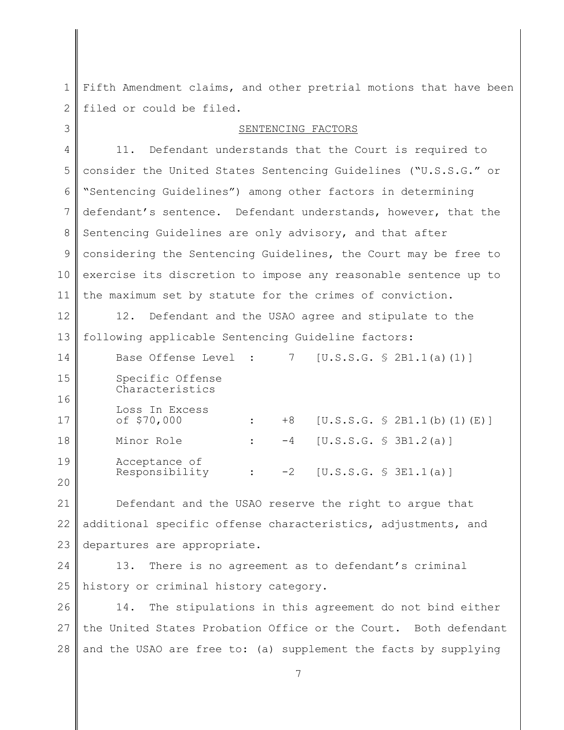1 Fifth Amendment claims, and other pretrial motions that have been 2 filed or could be filed.

| 3              | SENTENCING FACTORS                                                     |
|----------------|------------------------------------------------------------------------|
| $\overline{4}$ | Defendant understands that the Court is required to<br>11.             |
| 5              | consider the United States Sentencing Guidelines ("U.S.S.G." or        |
| 6              | "Sentencing Guidelines") among other factors in determining            |
| 7              | defendant's sentence. Defendant understands, however, that the         |
| 8              | Sentencing Guidelines are only advisory, and that after                |
| 9              | considering the Sentencing Guidelines, the Court may be free to        |
| 10             | exercise its discretion to impose any reasonable sentence up to        |
| 11             | the maximum set by statute for the crimes of conviction.               |
| 12             | 12.<br>Defendant and the USAO agree and stipulate to the               |
| 13             | following applicable Sentencing Guideline factors:                     |
| 14             | Base Offense Level :<br>[U.S.S.G. S 2B1.1(a) (1)]<br>7                 |
| 15             | Specific Offense<br>Characteristics                                    |
| 16             |                                                                        |
| 17             | Loss In Excess<br>of \$70,000<br>$+8$<br>[U.S.S.G. S 2B1.1(b) (1) (E)] |
| 18             | Minor Role<br>[U.S.S.G. \$ 3B1.2(a)]<br>$-4$<br>$\ddot{\phantom{a}}$   |
| 19             | Acceptance of<br>Responsibility<br>$-2$<br>[U.S.S.G. S SI.1(a)]        |
| 20             | $\ddot{\phantom{a}}$                                                   |
| 21             | Defendant and the USAO reserve the right to argue that                 |
| 22             | additional specific offense characteristics, adjustments, and          |
| 23             | departures are appropriate.                                            |
| 24             | There is no agreement as to defendant's criminal<br>13.                |
| 25             | history or criminal history category.                                  |
| 26             | 14.<br>The stipulations in this agreement do not bind either           |
| 27             | the United States Probation Office or the Court. Both defendant        |
| 28             | and the USAO are free to: (a) supplement the facts by supplying        |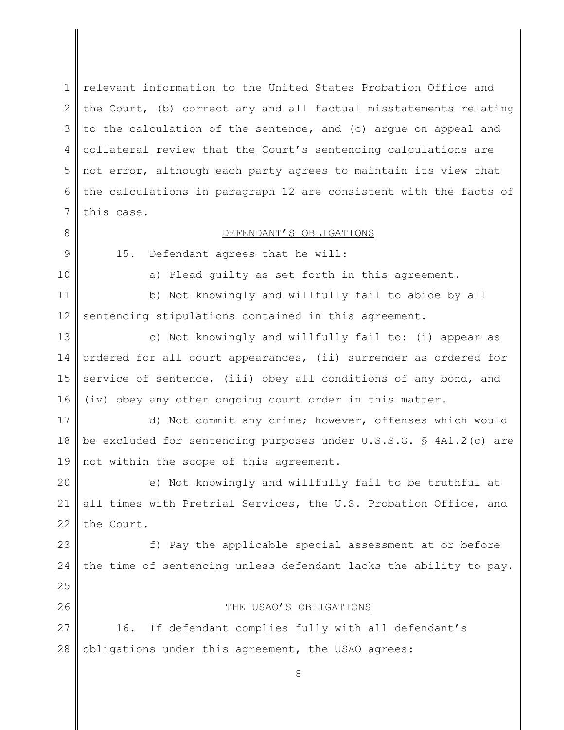1 2 3 4 5 6 7 relevant information to the United States Probation Office and the Court, (b) correct any and all factual misstatements relating to the calculation of the sentence, and (c) argue on appeal and collateral review that the Court's sentencing calculations are not error, although each party agrees to maintain its view that the calculations in paragraph 12 are consistent with the facts of this case.

# DEFENDANT'S OBLIGATIONS

9

8

10

25

26

a) Plead guilty as set forth in this agreement.

11 12 b) Not knowingly and willfully fail to abide by all sentencing stipulations contained in this agreement.

15. Defendant agrees that he will:

13 14 15 16 c) Not knowingly and willfully fail to: (i) appear as ordered for all court appearances, (ii) surrender as ordered for service of sentence, (iii) obey all conditions of any bond, and (iv) obey any other ongoing court order in this matter.

17 18 19 d) Not commit any crime; however, offenses which would be excluded for sentencing purposes under U.S.S.G. § 4A1.2(c) are not within the scope of this agreement.

20 21 22 e) Not knowingly and willfully fail to be truthful at all times with Pretrial Services, the U.S. Probation Office, and the Court.

23 24 f) Pay the applicable special assessment at or before the time of sentencing unless defendant lacks the ability to pay.

THE USAO'S OBLIGATIONS

27 28 16. If defendant complies fully with all defendant's obligations under this agreement, the USAO agrees: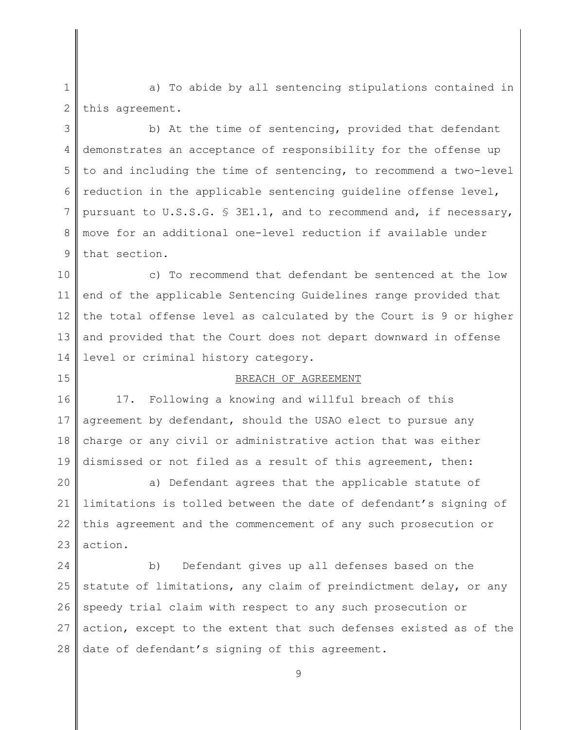1 2 a) To abide by all sentencing stipulations contained in this agreement.

3 4 5 6 7 8 9 b) At the time of sentencing, provided that defendant demonstrates an acceptance of responsibility for the offense up to and including the time of sentencing, to recommend a two-level reduction in the applicable sentencing guideline offense level, pursuant to U.S.S.G. § 3E1.1, and to recommend and, if necessary, move for an additional one-level reduction if available under that section.

10 11 12 13 14 c) To recommend that defendant be sentenced at the low end of the applicable Sentencing Guidelines range provided that the total offense level as calculated by the Court is 9 or higher and provided that the Court does not depart downward in offense level or criminal history category.

### BREACH OF AGREEMENT

16 17 18 19 17. Following a knowing and willful breach of this agreement by defendant, should the USAO elect to pursue any charge or any civil or administrative action that was either dismissed or not filed as a result of this agreement, then:

15

20 21 22 23 a) Defendant agrees that the applicable statute of limitations is tolled between the date of defendant's signing of this agreement and the commencement of any such prosecution or action.

24 25 26 27 28 b) Defendant gives up all defenses based on the statute of limitations, any claim of preindictment delay, or any speedy trial claim with respect to any such prosecution or action, except to the extent that such defenses existed as of the date of defendant's signing of this agreement.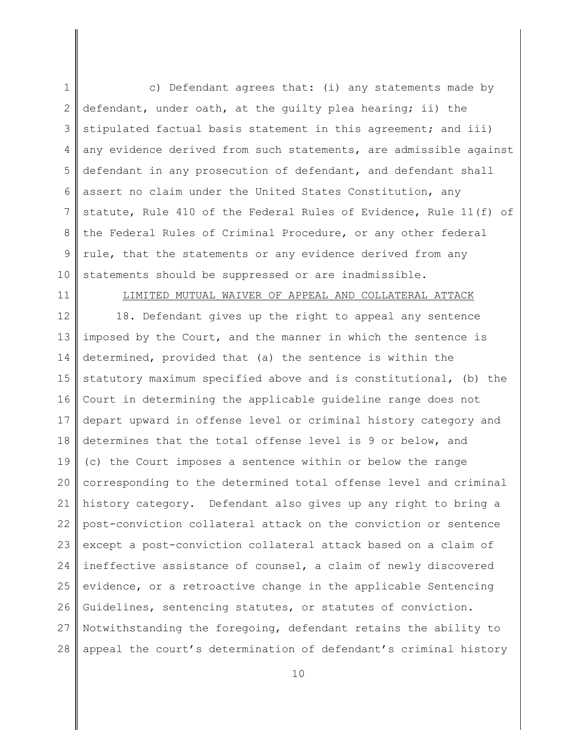1 2 3 4 5 6 7 8 9 10 c) Defendant agrees that: (i) any statements made by defendant, under oath, at the guilty plea hearing; ii) the stipulated factual basis statement in this agreement; and iii) any evidence derived from such statements, are admissible against defendant in any prosecution of defendant, and defendant shall assert no claim under the United States Constitution, any statute, Rule 410 of the Federal Rules of Evidence, Rule 11(f) of the Federal Rules of Criminal Procedure, or any other federal rule, that the statements or any evidence derived from any statements should be suppressed or are inadmissible.

11

## LIMITED MUTUAL WAIVER OF APPEAL AND COLLATERAL ATTACK

12 13 14 15 16 17 18 19 20 21 22 23 24 25 26 27 28 18. Defendant gives up the right to appeal any sentence imposed by the Court, and the manner in which the sentence is determined, provided that (a) the sentence is within the statutory maximum specified above and is constitutional, (b) the Court in determining the applicable guideline range does not depart upward in offense level or criminal history category and determines that the total offense level is 9 or below, and (c) the Court imposes a sentence within or below the range corresponding to the determined total offense level and criminal history category. Defendant also gives up any right to bring a post-conviction collateral attack on the conviction or sentence except a post-conviction collateral attack based on a claim of ineffective assistance of counsel, a claim of newly discovered evidence, or a retroactive change in the applicable Sentencing Guidelines, sentencing statutes, or statutes of conviction. Notwithstanding the foregoing, defendant retains the ability to appeal the court's determination of defendant's criminal history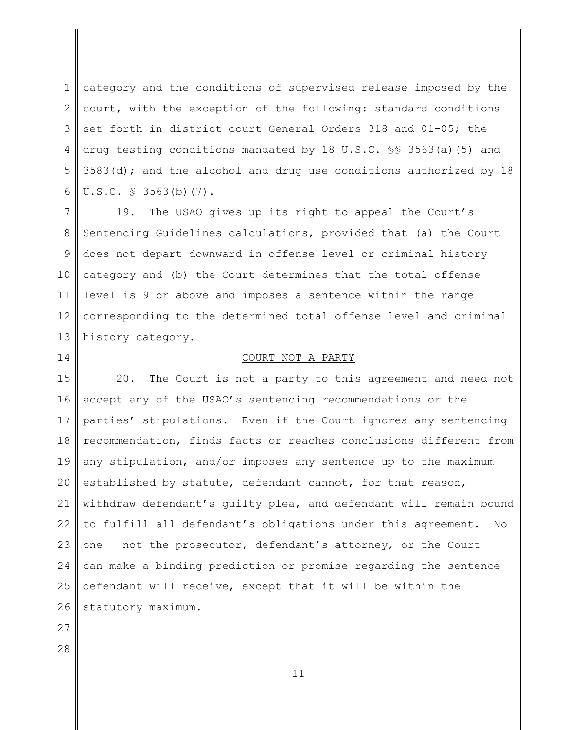1 2 3 4 5 6 category and the conditions of supervised release imposed by the court, with the exception of the following: standard conditions set forth in district court General Orders 318 and 01-05; the drug testing conditions mandated by 18 U.S.C. §§ 3563(a)(5) and 3583(d); and the alcohol and drug use conditions authorized by  $18$ U.S.C. § 3563(b)(7).

7 8 9 10 11 12 13 19. The USAO gives up its right to appeal the Court's Sentencing Guidelines calculations, provided that (a) the Court does not depart downward in offense level or criminal history category and (b) the Court determines that the total offense level is 9 or above and imposes a sentence within the range corresponding to the determined total offense level and criminal history category.

### COURT NOT A PARTY

15 16 17 18 19 20 21 22 23 24 25 26 20. The Court is not a party to this agreement and need not accept any of the USAO's sentencing recommendations or the parties' stipulations. Even if the Court ignores any sentencing recommendation, finds facts or reaches conclusions different from any stipulation, and/or imposes any sentence up to the maximum established by statute, defendant cannot, for that reason, withdraw defendant's guilty plea, and defendant will remain bound to fulfill all defendant's obligations under this agreement. No one – not the prosecutor, defendant's attorney, or the Court – can make a binding prediction or promise regarding the sentence defendant will receive, except that it will be within the statutory maximum.

27

14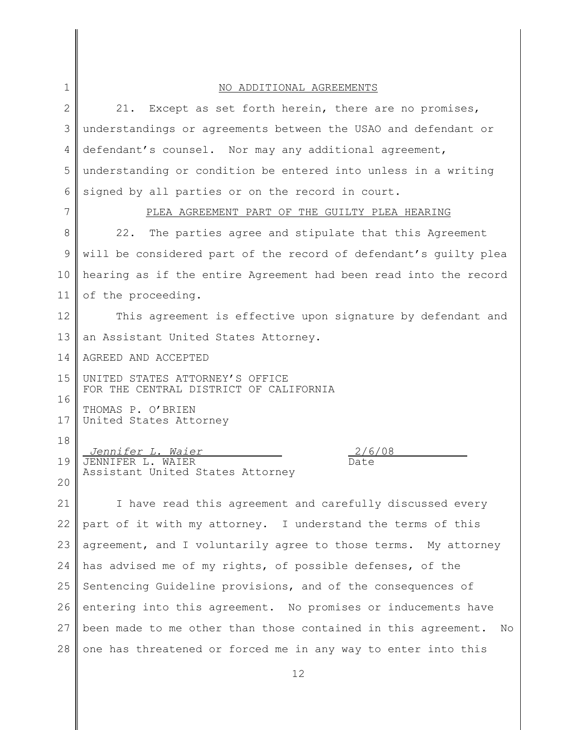| $\mathbf 1$  | NO ADDITIONAL AGREEMENTS                                                  |  |
|--------------|---------------------------------------------------------------------------|--|
| $\mathbf{2}$ | 21.<br>Except as set forth herein, there are no promises,                 |  |
| 3            | understandings or agreements between the USAO and defendant or            |  |
| 4            | defendant's counsel. Nor may any additional agreement,                    |  |
| 5            | understanding or condition be entered into unless in a writing            |  |
| 6            | signed by all parties or on the record in court.                          |  |
| 7            | PLEA AGREEMENT PART OF THE GUILTY PLEA HEARING                            |  |
| 8            | 22.<br>The parties agree and stipulate that this Agreement                |  |
| 9            | will be considered part of the record of defendant's quilty plea          |  |
| 10           | hearing as if the entire Agreement had been read into the record          |  |
| 11           | of the proceeding.                                                        |  |
| 12           | This agreement is effective upon signature by defendant and               |  |
| 13           | an Assistant United States Attorney.                                      |  |
| 14           | AGREED AND ACCEPTED                                                       |  |
| 15           | UNITED STATES ATTORNEY'S OFFICE<br>FOR THE CENTRAL DISTRICT OF CALIFORNIA |  |
| 16           |                                                                           |  |
| 17           | THOMAS P. O'BRIEN<br>United States Attorney                               |  |
| 18           | 2/6/08                                                                    |  |
| 19           | Jennifer L. Waier<br>JENNIFER L. WAIER<br>Date                            |  |
| 20           | Assistant United States Attorney                                          |  |
| 21           | I have read this agreement and carefully discussed every                  |  |
| 22           | part of it with my attorney. I understand the terms of this               |  |
| 23           | agreement, and I voluntarily agree to those terms. My attorney            |  |
| 24           | has advised me of my rights, of possible defenses, of the                 |  |
| 25           | Sentencing Guideline provisions, and of the consequences of               |  |
| 26           | entering into this agreement. No promises or inducements have             |  |
| 27           | been made to me other than those contained in this agreement.<br>No       |  |
| 28           | one has threatened or forced me in any way to enter into this             |  |